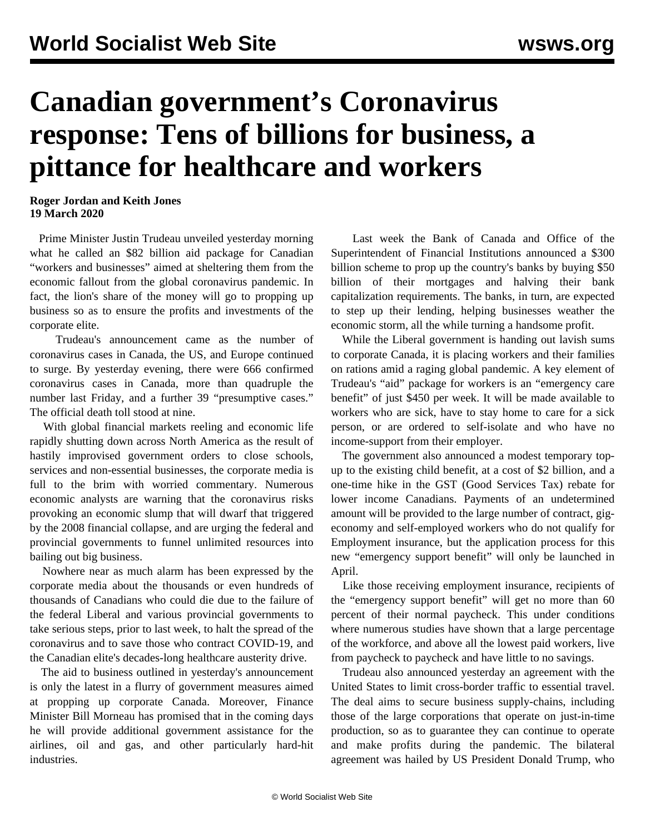## **Canadian government's Coronavirus response: Tens of billions for business, a pittance for healthcare and workers**

## **Roger Jordan and Keith Jones 19 March 2020**

 Prime Minister Justin Trudeau unveiled yesterday morning what he called an \$82 billion aid package for Canadian "workers and businesses" aimed at sheltering them from the economic fallout from the global coronavirus pandemic. In fact, the lion's share of the money will go to propping up business so as to ensure the profits and investments of the corporate elite.

 Trudeau's announcement came as the number of coronavirus cases in Canada, the US, and Europe continued to surge. By yesterday evening, there were 666 confirmed coronavirus cases in Canada, more than quadruple the number last Friday, and a further 39 "presumptive cases." The official death toll stood at nine.

 With global financial markets reeling and economic life rapidly shutting down across North America as the result of hastily improvised government orders to close schools, services and non-essential businesses, the corporate media is full to the brim with worried commentary. Numerous economic analysts are warning that the coronavirus risks provoking an economic slump that will dwarf that triggered by the 2008 financial collapse, and are urging the federal and provincial governments to funnel unlimited resources into bailing out big business.

 Nowhere near as much alarm has been expressed by the corporate media about the thousands or even hundreds of thousands of Canadians who could die due to the failure of the federal Liberal and various provincial governments to take serious steps, prior to last week, to halt the spread of the coronavirus and to save those who contract COVID-19, and the Canadian elite's decades-long healthcare austerity drive.

 The aid to business outlined in yesterday's announcement is only the latest in a flurry of government measures aimed at propping up corporate Canada. Moreover, Finance Minister Bill Morneau has promised that in the coming days he will provide additional government assistance for the airlines, oil and gas, and other particularly hard-hit industries.

 Last week the Bank of Canada and Office of the Superintendent of Financial Institutions announced a \$300 billion scheme to prop up the country's banks by buying \$50 billion of their mortgages and halving their bank capitalization requirements. The banks, in turn, are expected to step up their lending, helping businesses weather the economic storm, all the while turning a handsome profit.

 While the Liberal government is handing out lavish sums to corporate Canada, it is placing workers and their families on rations amid a raging global pandemic. A key element of Trudeau's "aid" package for workers is an "emergency care benefit" of just \$450 per week. It will be made available to workers who are sick, have to stay home to care for a sick person, or are ordered to self-isolate and who have no income-support from their employer.

 The government also announced a modest temporary topup to the existing child benefit, at a cost of \$2 billion, and a one-time hike in the GST (Good Services Tax) rebate for lower income Canadians. Payments of an undetermined amount will be provided to the large number of contract, gigeconomy and self-employed workers who do not qualify for Employment insurance, but the application process for this new "emergency support benefit" will only be launched in April.

 Like those receiving employment insurance, recipients of the "emergency support benefit" will get no more than 60 percent of their normal paycheck. This under conditions where numerous studies have shown that a large percentage of the workforce, and above all the lowest paid workers, live from paycheck to paycheck and have little to no savings.

 Trudeau also announced yesterday an agreement with the United States to limit cross-border traffic to essential travel. The deal aims to secure business supply-chains, including those of the large corporations that operate on just-in-time production, so as to guarantee they can continue to operate and make profits during the pandemic. The bilateral agreement was hailed by US President Donald Trump, who